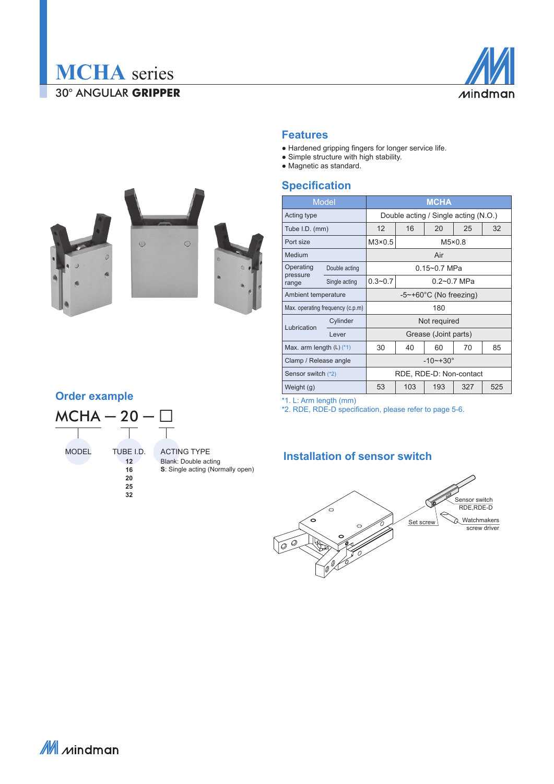



#### **Features**

- Hardened gripping fingers for longer service life.
- Simple structure with high stability.
- Magnetic as standard.

#### **Specification**

|                              | <b>Model</b>                     | <b>MCHA</b>                          |                 |     |     |     |  |  |  |  |
|------------------------------|----------------------------------|--------------------------------------|-----------------|-----|-----|-----|--|--|--|--|
| Acting type                  |                                  | Double acting / Single acting (N.O.) |                 |     |     |     |  |  |  |  |
| Tube I.D. (mm)               |                                  | 12                                   | 16              | 20  | 25  | 32  |  |  |  |  |
| Port size                    |                                  | $M3\times0.5$                        | $M5\times0.8$   |     |     |     |  |  |  |  |
| Medium                       |                                  | Air                                  |                 |     |     |     |  |  |  |  |
| Operating                    | Double acting                    | $0.15 - 0.7$ MPa                     |                 |     |     |     |  |  |  |  |
| pressure<br>range            | Single acting                    | $0.3 - 0.7$                          | $0.2 - 0.7$ MPa |     |     |     |  |  |  |  |
| Ambient temperature          |                                  | $-5$ ~+60 $^{\circ}$ C (No freezing) |                 |     |     |     |  |  |  |  |
|                              | Max. operating frequency (c.p.m) | 180                                  |                 |     |     |     |  |  |  |  |
| Lubrication                  | Cylinder                         | Not required                         |                 |     |     |     |  |  |  |  |
|                              | Lever                            | Grease (Joint parts)                 |                 |     |     |     |  |  |  |  |
| Max. arm length $(L)$ $(*1)$ |                                  | 30                                   | 40              | 60  | 70  | 85  |  |  |  |  |
| Clamp / Release angle        |                                  | $-10$ ~+30 $^{\circ}$                |                 |     |     |     |  |  |  |  |
| Sensor switch (*2)           |                                  | RDE, RDE-D: Non-contact              |                 |     |     |     |  |  |  |  |
| Weight (g)                   |                                  | 53                                   | 103             | 193 | 327 | 525 |  |  |  |  |

\*1. L: Arm length (mm)

\*2. RDE, RDE-D specification, please refer to page 5-6.

#### **Installation of sensor switch**









# **Order example**



ACTING TYPE Blank: Double acting **S**: Single acting (Normally open)

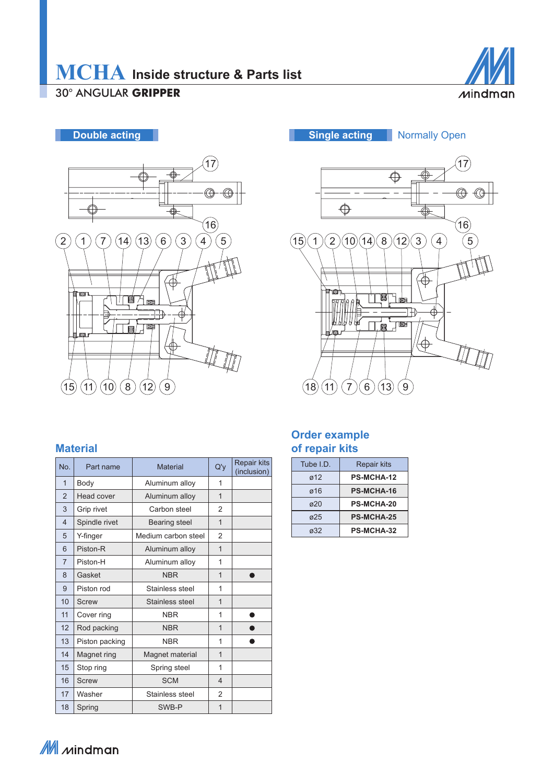



#### **Material**

| No.            | Part name      | <b>Material</b>     | Q'y            | Repair kits<br>(inclusion) |
|----------------|----------------|---------------------|----------------|----------------------------|
| $\mathbf{1}$   | Body           | Aluminum alloy      | 1              |                            |
| $\overline{2}$ | Head cover     | Aluminum alloy      | $\overline{1}$ |                            |
| 3              | Grip rivet     | Carbon steel        | 2              |                            |
| $\overline{4}$ | Spindle rivet  | Bearing steel       | $\overline{1}$ |                            |
| 5              | Y-finger       | Medium carbon steel | $\overline{2}$ |                            |
| 6              | Piston-R       | Aluminum alloy      | 1              |                            |
| $\overline{7}$ | Piston-H       | Aluminum alloy      | 1              |                            |
| 8              | Gasket         | <b>NBR</b>          | $\overline{1}$ |                            |
| 9              | Piston rod     | Stainless steel     | 1              |                            |
| 10             | Screw          | Stainless steel     | $\overline{1}$ |                            |
| 11             | Cover ring     | <b>NBR</b>          | 1              |                            |
| 12             | Rod packing    | <b>NBR</b>          | 1              |                            |
| 13             | Piston packing | <b>NBR</b>          | 1              |                            |
| 14             | Magnet ring    | Magnet material     | $\overline{1}$ |                            |
| 15             | Stop ring      | Spring steel        | 1              |                            |
| 16             | Screw          | <b>SCM</b>          | 4              |                            |
| 17             | Washer         | Stainless steel     | $\overline{2}$ |                            |
| 18             | Spring         | SWB-P               | 1              |                            |



#### **Order example of repair kits**

| Tube $ID$   | <b>Repair kits</b> |
|-------------|--------------------|
| ø12         | <b>PS-MCHA-12</b>  |
| ø16         | <b>PS-MCHA-16</b>  |
| $\sigma$ 20 | <b>PS-MCHA-20</b>  |
| ø25         | <b>PS-MCHA-25</b>  |
| a32         | <b>PS-MCHA-32</b>  |

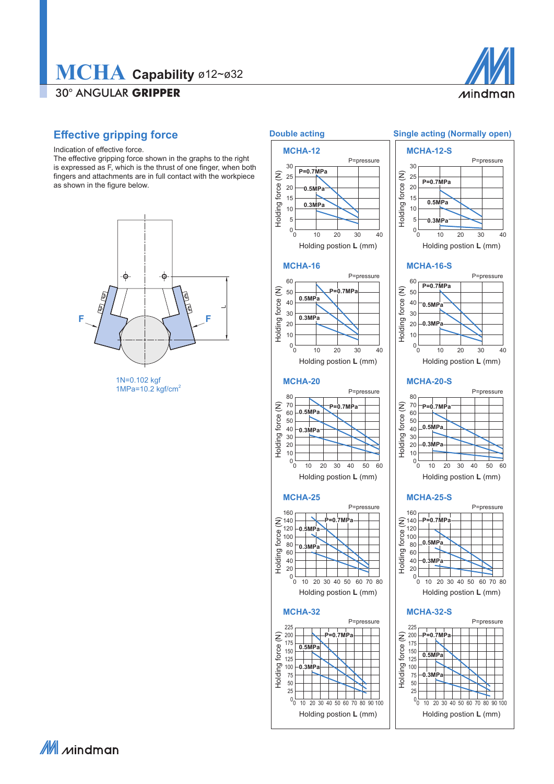## 30° ANGULAR **GRIPPER MCHA Capability** ø12~ø32



#### **Effective gripping force**

Indication of effective force.

The effective gripping force shown in the graphs to the right is expressed as F, which is the thrust of one finger, when both fingers and attachments are in full contact with the workpiece as shown in the figure below.



1N=0.102 kgf 1MPa=10.2 kgf/cm<sup>2</sup>